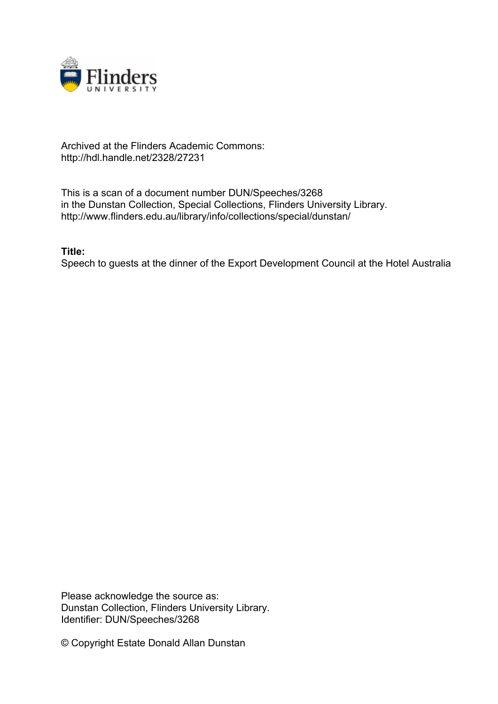

## Archived at the Flinders Academic Commons: http://hdl.handle.net/2328/27231

This is a scan of a document number DUN/Speeches/3268 in the Dunstan Collection, Special Collections, Flinders University Library. http://www.flinders.edu.au/library/info/collections/special/dunstan/

## **Title:**

Speech to guests at the dinner of the Export Development Council at the Hotel Australia

Please acknowledge the source as: Dunstan Collection, Flinders University Library. Identifier: DUN/Speeches/3268

© Copyright Estate Donald Allan Dunstan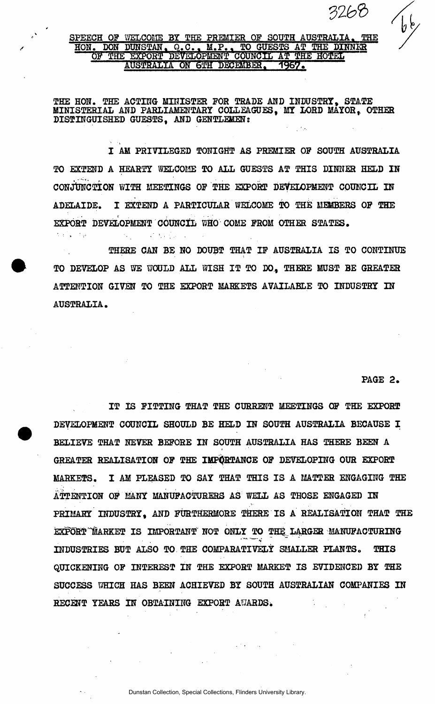**SPEECH OF WELCOME BY THE PREMIER OF SOUTH AUSTRALIA. THE HON. DON DUNSTAN> Q.C.. M.P.« TO GUESTS AT THE DINNER**  OF THE EXPORT DEVELOPMENT COUNCIL AT THE HOTEL **AUSTRALIA ON 6TH DECEMBER, 1957.** 

**THE HON. THE ACTING MINISTER FOR TRADE AND INDUSTRY, STATE MINISTERIAL AND PARLIAMENTARY COLLEAGUES, MY LORD MAYOR, OTHER DISTINGUISHED GUESTS, AND GENTLEMEN:** 

**I AM PRIVILEGED TONIGHT AS PREMIER OF SOUTH AUSTRALIA TO EXTEND A HEARTY WELCOME TO ALL GUESTS AT THIS DINNER HELD IN CONJUNCTION WITH MEETINGS OF THE EXPORT DEVELOPMENT COUNCIL IN ADELAIDE. I EXTEND A PARTICULAR WELCOME TO THE MEMBERS OF THE EXPORT DEVELOPMENT COUNCIL WHO COME FROM OTHER STATES.** 

**THERE CAN BE NO DOUBT THAT IF AUSTRALIA IS TO CONTINUE TO DEVELOP AS WE WOULD ALL WISH IT TO DO., THERE MUST BE GREATER ATTENTION GIVEN TO THE EXPORT MARKETS AVAILABLE TO INDUSTRY IN AUSTRALIA.** 

**PAGE 2.** 

*tatib* 

 $\int \oint \phi$ 

**IT IS FITTING THAT THE CURRENT MEETINGS OF THE EXPORT DEVELOPMENT COUNCIL SHOULD BE HELD IN SOUTH AUSTRALIA BECAUSE I BELIEVE THAT NEVER BEFORE IN SOUTH AUSTRALIA HAS THERE BEEN A GREATER REALISATION OF THE IMPORTANCE OF DEVELOPING OUR EXPORT MARKETS. I AM PLEASED TO SAY THAT THIS IS A MATTER ENGAGING THE ATTENTION OF MANY MANUFACTURERS AS WELL AS THOSE ENGAGED IN PRIMARY INDUSTRY, AND FURTHERMORE THERE IS A REALISATION THAT THE**  EXPORT MARKET IS IMPORTANT NOT ONLY TO THE LARGER MANUFACTURING **INDUSTRIES BUT ALSO TO THE COMPARATIVELY SMALLER PLANTS. THIS QUICKENING OF INTEREST IN THE EXPORT MARKET IS EVIDENCED BY THE SUCCESS WHICH HAS BEEN ACHIEVED BY SOUTH AUSTRALIAN COMPANIES IN RECENT YEARS IN OBTAINING EXPORT AF/ARDS.**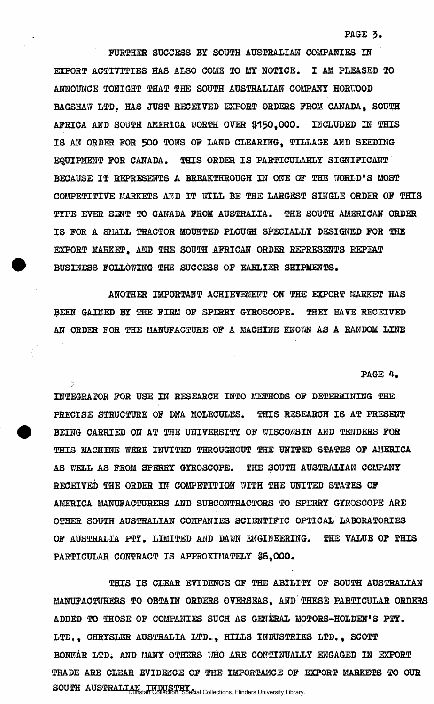**PAGE 3.** 

**FURTHER SUCCESS BY SOUTH AUSTRALIAN COMPANIES IN EXPORT ACTIVITIES HAS ALSO COME TO MY NOTICE. I AM PLEASED TO ANNOUNCE TONIGHT THAT THE SOUTH AUSTRALIAN COMPANY HORUOOD BAGSHAW LTD. HAS JUST RECEIVED EXPORT ORDERS PROM CANADA, SOUTH AFRICA AND SOUTH AMERICA WORTH OVER 0150,000. INCLUDED IN THIS IS AN ORDER FOR 500 TONS OF LAND CLEARING, TILLAGE AND SEEDING EQUIPMENT FOR CANADA. THIS ORDER IS PARTICULARLY SIGNIFICANT BECAUSE IT REPRESENTS A BREAKTHROUGH IN ONE OF THE WORLD'S MOST**  COMPETITIVE MARKETS AND IT WILL BE THE LARGEST SINGLE ORDER OF THIS TYPE EVER SENT TO CANADA FROM AUSTRALIA. THE SOUTH AMERICAN ORDER **IS FOR A SMALL TRACTOR MOUNTED PLOUGH SPECIALLY DESIGNED FOR THE EXPORT MARKET, AND THE SOUTH AFRICAN ORDER REPRESENTS REPEAT BUSINESS FOLLOWING THE SUCCESS OF EARLIER SHIPMENTS.** 

**ANOTHER IMPORTANT ACHIEVEMENT ON THE EXPORT MARKET HAS BEEN GAINED BY THE FIRM OF SPERRY GYROSCOPE. THEY HAVE RECEIVED AN ORDER FOR THE MANUFACTURE OF A MACHINE KNOW AS A RANDOM LINE** 

**PAGE 4.** 

**INTEGRATOR FOR USE IN RESEARCH INTO METHODS OF DETERMINING THE PRECISE STRUCTURE OF DNA MOLECULES. THIS RESEARCH IS AT PRESENT BEING CARRIED ON AT THE UNIVERSITY OF WISCONSIN AND TENDERS FOR THIS MACHINE WERE INVITED THROUGHOUT THE UNITED STATES OF AMERICA AS WELL AS FROM SPERRY GYROSCOPE. THE SOUTH AUSTRALIAN COMPANY RECEIVED THE ORDER IN COMPETITION WITH THE UNITED STATES OF AMERICA MANUFACTURERS AND SUBCONTRACTORS TO SPERRY GYROSCOPE ARE OTHER SOUTH AUSTRALIAN COMPANIES SCIENTIFIC OPTICAL LABORATORIES OF AUSTRALIA PTY. LIMITED AND DAWN ENGINEERING. THE VALUE OF THIS PARTICULAR CONTRACT IS APPROXIMATELY 86,000.** 

**THIS IS CLEAR EVIDENCE OF THE ABILITY OF SOUTH AUSTRALIAN MANUFACTURERS TO OBTAIN ORDERS OVERSEAS, AND THESE PARTICULAR ORDERS ADDED TO THOSE OF COMPANIES SUCH AS GENERAL MOTORS-HOLDEN'S PTY. LTD., CHRYSLER AUSTRALIA LTD., HILLS INDUSTRIES LTD., SCOTT**  BONNAR LTD. AND MANY OTHERS WHO ARE CONTINUALLY ENGAGED IN EXPORT **TRADE ARE CLEAR EVIDENCE OF THE IMPORTANCE OF EXPORT MARKETS TO OUR SOUTH AUSTRALIAN INDUSTRY**<br>
Dunstan Collection, Special Collections, Flinders University Library.